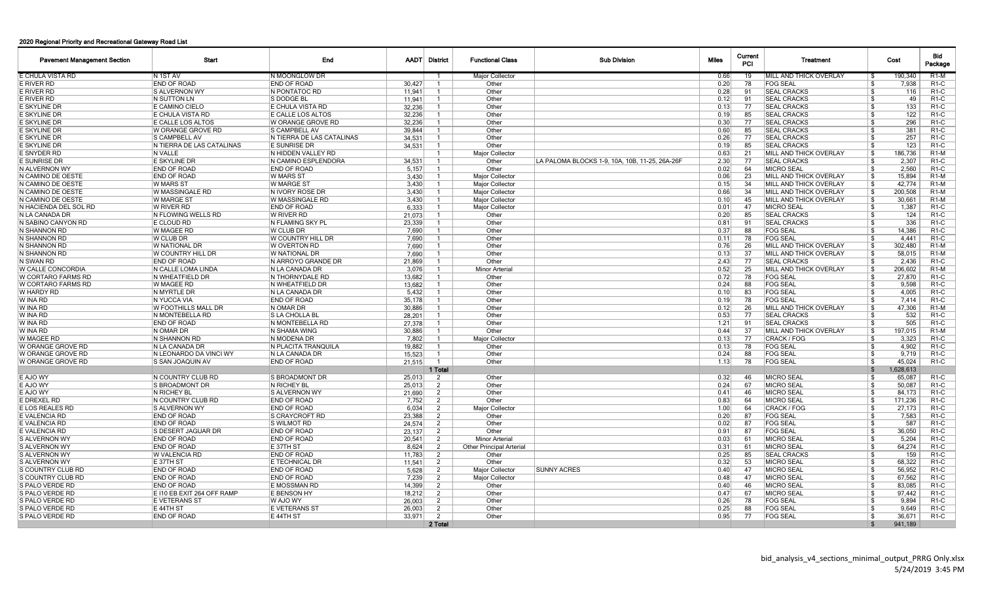## 2020 Regional Priority and Recreational Gateway Road List

| <b>Pavement Management Section</b> | Start                      | End                        |        | <b>AADT</b> District | <b>Functional Class</b>         | <b>Sub Division</b>                            | <b>Miles</b> | Current<br><b>PCI</b> | Treatment                      | Cost            | Bid<br>Package    |
|------------------------------------|----------------------------|----------------------------|--------|----------------------|---------------------------------|------------------------------------------------|--------------|-----------------------|--------------------------------|-----------------|-------------------|
| E CHULA VISTA RD                   | IN 1ST AV                  | IN MOONGLOW DR             |        |                      | <b>Major Collector</b>          |                                                | 0.66         | 19                    | <b>MILL AND THICK OVERLAY</b>  | 190.340<br>- \$ | $R1-M$            |
| E RIVER RD                         | <b>END OF ROAD</b>         | <b>END OF ROAD</b>         | 30.427 | -1                   | Other                           |                                                | 0.20         | 78                    | <b>FOG SEAL</b>                | ∣\$.<br>7,938   | R <sub>1</sub> -C |
| E RIVER RD                         | <b>S ALVERNON WY</b>       | <b>N PONTATOC RD</b>       | 11.941 | $\mathbf{1}$         | Other                           |                                                | 0.28         | 91                    | <b>SEAL CRACKS</b>             | ∣\$.<br>116     | R <sub>1</sub> -C |
| E RIVER RD                         | IN SUTTON LN               | <b>S DODGE BL</b>          | 11.941 |                      | Other                           |                                                | 0.12         | 91                    | <b>SEAL CRACKS</b>             | 49<br>∣\$       | R1-C              |
| E SKYLINE DR                       | <b>E CAMINO CIELO</b>      | E CHULA VISTA RD           | 32,236 |                      | Other                           |                                                | 0.13         | 77                    | <b>SEAL CRACKS</b>             | - \$<br>133     | <b>R1-C</b>       |
| E SKYLINE DR                       | E CHULA VISTA RD           | E CALLE LOS ALTOS          | 32,236 |                      | Other                           |                                                | 0.19         | 85                    | <b>SEAL CRACKS</b>             | 122<br>\$       | $R1-C$            |
| E SKYLINE DR                       | E CALLE LOS ALTOS          | W ORANGE GROVE RD          | 32,236 |                      | Other                           |                                                | 0.30         | 77                    | <b>SEAL CRACKS</b>             | 296<br>\$       | R <sub>1</sub> -C |
| E SKYLINE DR                       | W ORANGE GROVE RD          | <b>S CAMPBELL AV</b>       | 39.844 | $\overline{1}$       | Other                           |                                                | 0.60         | 85                    | <b>SEAL CRACKS</b>             | 381<br>- \$     | R <sub>1</sub> -C |
| E SKYLINE DR                       | <b>S CAMPBELL AV</b>       | IN TIERRA DE LAS CATALINAS | 34.531 |                      | Other                           |                                                | 0.26         | 77                    | <b>SEAL CRACKS</b>             | 257<br>- \$     | <b>R1-C</b>       |
| E SKYLINE DR                       | IN TIERRA DE LAS CATALINAS | <b>E SUNRISE DR</b>        | 34.531 |                      | Other                           |                                                | 0.19         | 85                    | <b>SEAL CRACKS</b>             | - \$<br>123     | R1-C              |
| E SNYDER RD                        | N VALLE                    | IN HIDDEN VALLEY RD        |        |                      | <b>Major Collector</b>          |                                                | 0.63         | 21                    | <b>MILL AND THICK OVERLAY</b>  | 186,736<br>- \$ | R <sub>1</sub> -M |
| E SUNRISE DR                       | E SKYLINE DR               | N CAMINO ESPLENDORA        | 34,531 | $\overline{1}$       | Other                           | LA PALOMA BLOCKS 1-9, 10A, 10B, 11-25, 26A-26F | 2.30         | 77                    | <b>SEAL CRACKS</b>             | \$<br>2,307     | <b>R1-C</b>       |
| N ALVERNON WY                      | <b>END OF ROAD</b>         | <b>END OF ROAD</b>         | 5,157  | $\overline{1}$       | Other                           |                                                | 0.02         | 64                    | <b>MICRO SEAL</b>              | \$<br>2,560     | <b>R1-C</b>       |
| N CAMINO DE OESTE                  | <b>END OF ROAD</b>         | W MARS ST                  | 3.430  |                      | <b>Maior Collector</b>          |                                                | 0.06         | 23                    | <b>MILL AND THICK OVERLAY</b>  | - \$<br>15.894  | $R1-M$            |
| N CAMINO DE OESTE                  | <b>W MARS ST</b>           | <b>W MARGE ST</b>          | 3.430  |                      | <b>Major Collector</b>          |                                                | 0.15         | 34                    | <b>IMILL AND THICK OVERLAY</b> | -Ŝ<br>42.774    | $R1-M$            |
| N CAMINO DE OESTE                  | W MASSINGALE RD            | IN IVORY ROSE DR           | 3.430  |                      | Major Collector                 |                                                | 0.66         | 34                    | <b>IMILL AND THICK OVERLAY</b> | -Ŝ<br>200,508   | $R1-M$            |
| N CAMINO DE OESTE                  | W MARGE ST                 | W MASSINGALE RD            | 3,430  |                      | <b>Major Collector</b>          |                                                | 0.10         | 45                    | <b>MILL AND THICK OVERLAY</b>  | -\$<br>30.661   | R <sub>1</sub> -M |
| N HACIENDA DEL SOL RD              | W RIVER RD                 | <b>END OF ROAD</b>         | 6,333  | $\overline{1}$       | <b>Major Collector</b>          |                                                | 0.01         | 47                    | <b>MICRO SEAL</b>              | ∣\$.<br>1,387   | R <sub>1</sub> -C |
| N LA CANADA DR                     | IN FLOWING WELLS RD        | W RIVER RD                 | 21,073 |                      | Other                           |                                                | 0.20         | 85                    | <b>SEAL CRACKS</b>             | - \$<br>124     | <b>R1-C</b>       |
| N SABINO CANYON RD                 | E CLOUD RD                 | N FLAMING SKY PL           | 23,339 |                      | Other                           |                                                | 0.81         | 91                    | <b>SEAL CRACKS</b>             | -\$<br>336      | R <sub>1</sub> -C |
| N SHANNON RD                       | W MAGEE RD                 | W CLUB DR                  | 7,690  |                      | Other                           |                                                | 0.37         | 88                    | <b>FOG SEAL</b>                | - \$<br>14,386  | $R1-C$            |
| N SHANNON RD                       | W CLUB DR                  | W COUNTRY HILL DR          | 7,690  |                      | Other                           |                                                | 0.11         | 78                    | <b>FOG SEAL</b>                | 4.441<br>- \$   | R <sub>1</sub> -C |
| N SHANNON RD                       | <b>W NATIONAL DR</b>       | <b>W OVERTON RD</b>        | 7.690  |                      | Other                           |                                                | 0.76         | 26                    | MILL AND THICK OVERLAY         | 302.480<br>-\$  | $R1-M$            |
| N SHANNON RD                       | <b>W COUNTRY HILL DR</b>   | <b>W NATIONAL DR</b>       | 7,690  | -1                   | Other                           |                                                | 0.13         | 37                    | MILL AND THICK OVERLAY         | ∣\$<br>58.015   | R <sub>1</sub> -M |
| N SWAN RD                          | <b>END OF ROAD</b>         | N ARROYO GRANDE DR         | 21.869 |                      | Other                           |                                                | 2.43         | 77                    | <b>SEAL CRACKS</b>             | ∣\$.<br>2.436   | <b>R1-C</b>       |
| W CALLE CONCORDIA                  | IN CALLE LOMA LINDA        | N LA CANADA DR             | 3.076  |                      | <b>Minor Arterial</b>           |                                                | 0.52         | 25                    | MILL AND THICK OVERLAY         | 206,602<br>- \$ | R <sub>1</sub> -M |
| W CORTARO FARMS RD                 | IN WHEATFIELD DR           | N THORNYDALE RD            | 13,682 |                      | Other                           |                                                | 0.72         | 78                    | <b>FOG SEAL</b>                | -\$<br>27,870   | <b>R1-C</b>       |
| W CORTARO FARMS RD                 | W MAGEE RD                 | N WHEATFIELD DR            | 13,682 | -1                   | Other                           |                                                | 0.24         | 88                    | <b>FOG SEAL</b>                | ∣\$<br>9,598    | <b>R1-C</b>       |
| W HARDY RD                         | IN MYRTLE DR               | N LA CANADA DR             | 5,432  | $\overline{1}$       | Other                           |                                                | 0.10         | 83                    | <b>FOG SEAL</b>                | 4.005<br>- \$   | R <sub>1</sub> -C |
| W INA RD                           | IN YUCCA VIA               | <b>END OF ROAD</b>         | 35.178 | -1                   | Other                           |                                                | 0.19         | 78                    | <b>FOG SEAL</b>                | - \$<br>7.414   | <b>R1-C</b>       |
| W INA RD                           | <b>W FOOTHILLS MALL DR</b> | IN OMAR DR                 | 30.886 |                      | Other                           |                                                | 0.12         | 26                    | <b>MILL AND THICK OVERLAY</b>  | 47.306<br>- \$  | $R1-M$            |
|                                    | N MONTEBELLA RD            | <b>S LA CHOLLA BL</b>      |        |                      | Other                           |                                                | 0.53         | 77                    | <b>SEAL CRACKS</b>             | - \$<br>532     | <b>R1-C</b>       |
| W INA RD                           |                            |                            | 28.201 |                      | Other                           |                                                |              | 91                    | <b>SEAL CRACKS</b>             | 505<br>-\$      | <b>R1-C</b>       |
| W INA RD                           | <b>END OF ROAD</b>         | N MONTEBELLA RD            | 27,378 | -1<br>-1             | Other                           |                                                | 1.21<br>0.44 | 37                    |                                | -\$<br>197.015  |                   |
| W INA RD                           | N OMAR DR                  | N SHAMA WING               | 30,886 |                      |                                 |                                                |              | 77                    | MILL AND THICK OVERLAY         | - \$            | R <sub>1</sub> -M |
| W MAGEE RD                         | N SHANNON RD               | <b>N MODENA DR</b>         | 7,802  | $\overline{1}$       | <b>Major Collector</b>          |                                                | 0.13         |                       | CRACK / FOG                    | 3,323<br>- \$   | <b>R1-C</b>       |
| W ORANGE GROVE RD                  | IN LA CANADA DR            | N PLACITA TRANQUILA        | 19.882 |                      | Other                           |                                                | 0.13         | 78                    | <b>FOG SEAL</b>                | 4.902           | <b>R1-C</b>       |
| W ORANGE GROVE RD                  | IN LEONARDO DA VINCI WY    | IN LA CANADA DR            | 15.523 |                      | Other                           |                                                | 0.24         | 88                    | <b>FOG SEAL</b>                | - \$<br>9.719   | <b>R1-C</b>       |
| W ORANGE GROVE RD                  | <b>S SAN JOAQUIN AV</b>    | <b>END OF ROAD</b>         | 21,515 |                      | Other                           |                                                | 1.13         | 78                    | <b>FOG SEAL</b>                | ∣\$.<br>45.024  | <b>R1-C</b>       |
|                                    |                            |                            |        | 1 Total              |                                 |                                                |              |                       |                                | 1,628,613       |                   |
| E AJO WY                           | IN COUNTRY CLUB RD         | <b>S BROADMONT DR</b>      | 25,013 | $\overline{2}$       | Other                           |                                                | 0.32         | 46                    | MICRO SEAL                     | - \$<br>65,087  | <b>R1-C</b>       |
| E AJO WY                           | <b>S BROADMONT DR</b>      | IN RICHEY BL               | 25,013 | 2                    | Other                           |                                                | 0.24         | 67                    | <b>MICRO SEAL</b>              | 50.087<br>- \$  | R1-C              |
| E AJO WY                           | IN RICHEY BL               | <b>S ALVERNON WY</b>       | 21,690 | $\overline{2}$       | Other                           |                                                | 0.41         | 46                    | MICRO SEAL                     | -\$<br>84,173   | $R1-C$            |
| E DREXEL RD                        | IN COUNTRY CLUB RD         | <b>END OF ROAD</b>         | 7,752  | 2                    | Other                           |                                                | 0.83         | 64                    | <b>MICRO SEAL</b>              | - \$<br>171.236 | $R1-C$            |
| E LOS REALES RD                    | <b>S ALVERNON WY</b>       | <b>END OF ROAD</b>         | 6.034  | $\overline{2}$       | <b>Major Collector</b>          |                                                | 1.00         | 64                    | CRACK / FOG                    | 27.173<br>- \$  | <b>R1-C</b>       |
| E VALENCIA RD                      | <b>END OF ROAD</b>         | <b>S CRAYCROFT RD</b>      | 23,388 | 2                    | Other                           |                                                | 0.20         | 87                    | <b>FOG SEAL</b>                | 7.583<br>- \$   | <b>R1-C</b>       |
| E VALENCIA RD                      | <b>END OF ROAD</b>         | <b>S WILMOT RD</b>         | 24,574 | 2                    | Other                           |                                                | 0.02         | 87                    | <b>FOG SEAL</b>                | - \$<br>587     | R <sub>1</sub> -C |
| E VALENCIA RD                      | S DESERT JAGUAR DR         | <b>END OF ROAD</b>         | 23,137 | 2                    | Other                           |                                                | 0.91         | 87                    | <b>FOG SEAL</b>                | ∣\$<br>36.050   | R <sub>1</sub> -C |
| S ALVERNON WY                      | END OF ROAD                | <b>END OF ROAD</b>         | 20.541 | 2                    | <b>Minor Arterial</b>           |                                                | 0.03         | 61                    | <b>MICRO SEAI</b>              | - \$<br>5,204   | $R1-C$            |
| S ALVERNON WY                      | <b>END OF ROAD</b>         | E 37TH ST                  | 8,624  | $\overline{2}$       | <b>Other Principal Arterial</b> |                                                | 0.31         | 61                    | <b>MICRO SEAL</b>              | \$<br>64,274    | $R1-C$            |
| S ALVERNON WY                      | <b>W VALENCIA RD</b>       | <b>END OF ROAD</b>         | 11,783 | $\overline{2}$       | Other                           |                                                | 0.25         | 85                    | <b>SEAL CRACKS</b>             | - \$<br>159     | R <sub>1</sub> -C |
| S ALVERNON WY                      | IE 37TH ST                 | <b>E TECHNICAL DR</b>      | 11,541 | 2                    | Other                           |                                                | 0.32         | 53                    | <b>MICRO SEAL</b>              | 68.322<br>- \$  | R <sub>1</sub> -C |
| S COUNTRY CLUB RD                  | <b>END OF ROAD</b>         | <b>END OF ROAD</b>         | 5,628  | $\overline{2}$       | <b>Major Collector</b>          | <b>SUNNY ACRES</b>                             | 0.40         | 47                    | <b>MICRO SEAL</b>              | ∣\$.<br>56.952  | R <sub>1</sub> -C |
| S COUNTRY CLUB RD                  | <b>END OF ROAD</b>         | <b>END OF ROAD</b>         | 7.239  | $\overline{2}$       | <b>Maior Collector</b>          |                                                | 0.48         | 47                    | <b>MICRO SEAL</b>              | ∣\$<br>67.562   | R <sub>1</sub> -C |
| S PALO VERDE RD                    | <b>END OF ROAD</b>         | E MOSSMAN RD               | 14,399 | 2                    | Other                           |                                                | 0.40         | 46                    | MICRO SEAL                     | -S<br>83.085    | R <sub>1</sub> -C |
| S PALO VERDE RD                    | E I10 EB EXIT 264 OFF RAMP | <b>E BENSON HY</b>         | 18,212 | $\overline{2}$       | Other                           |                                                | 0.47         | 67                    | MICRO SEAL                     | 97.442<br>- \$  | R <sub>1</sub> -C |
| S PALO VERDE RD                    | <b>E VETERANS ST</b>       | W AJO WY                   | 26,003 | $\overline{2}$       | Other                           |                                                | 0.26         | 78                    | <b>FOG SEAL</b>                | 9.894<br>- \$   | R <sub>1</sub> -C |
| S PALO VERDE RD                    | E 44TH ST                  | <b>E VETERANS ST</b>       | 26,003 | $\overline{2}$       | Other                           |                                                | 0.25         | 88                    | <b>FOG SEAL</b>                | \$<br>9.649     | R <sub>1</sub> -C |
| S PALO VERDE RD                    | <b>END OF ROAD</b>         | <b>E 44TH ST</b>           | 33.971 | $\overline{2}$       | Other                           |                                                | 0.95         | 77                    | <b>FOG SEAL</b>                | 36.671<br>- \$  | <b>R1-C</b>       |
|                                    |                            |                            |        | 2 Total              |                                 |                                                |              |                       |                                | 941.189         |                   |